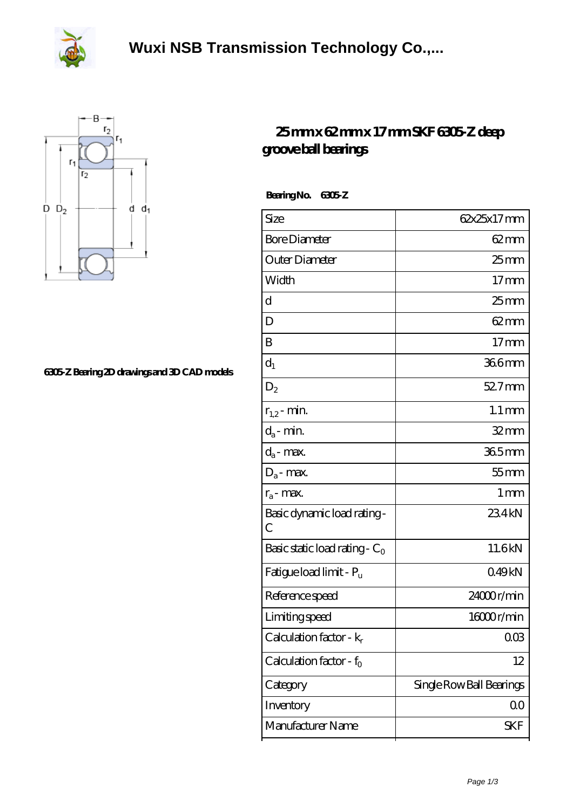



## **[6305-Z Bearing 2D drawings and 3D CAD models](https://herbal-circle.com/pic-371697.html)**

## **[25 mm x 62 mm x 17 mm SKF 6305-Z deep](https://herbal-circle.com/skf-6305-z-bearing/) [groove ball bearings](https://herbal-circle.com/skf-6305-z-bearing/)**

 **Bearing No. 6305-Z**

| Size                                | 62x25x17mm               |
|-------------------------------------|--------------------------|
| <b>Bore Diameter</b>                | $62 \text{mm}$           |
| Outer Diameter                      | $25 \text{mm}$           |
| Width                               | 17 <sub>mm</sub>         |
| d                                   | $25 \text{mm}$           |
| D                                   | $62 \text{mm}$           |
| B                                   | $17 \text{mm}$           |
| $d_1$                               | 366mm                    |
| $D_2$                               | $527$ mm                 |
| $r_{1,2}$ - min.                    | $1.1 \,\mathrm{mm}$      |
| $d_a$ - min.                        | $32$ mm                  |
| $d_a$ - max.                        | 365mm                    |
| $D_a$ - max.                        | $55$ mm                  |
| $r_a$ - max.                        | $1 \,\mathrm{mm}$        |
| Basic dynamic load rating -<br>С    | 234kN                    |
| Basic static load rating - $C_0$    | 11.6kN                   |
| Fatigue load limit - P <sub>u</sub> | 049kN                    |
| Reference speed                     | 24000r/min               |
| Limiting speed                      | 16000r/min               |
| Calculation factor - $k_r$          | 003                      |
| Calculation factor - $f_0$          | 12                       |
| Category                            | Single Row Ball Bearings |
| Inventory                           | QO                       |
| Manufacturer Name                   | SKF                      |
|                                     |                          |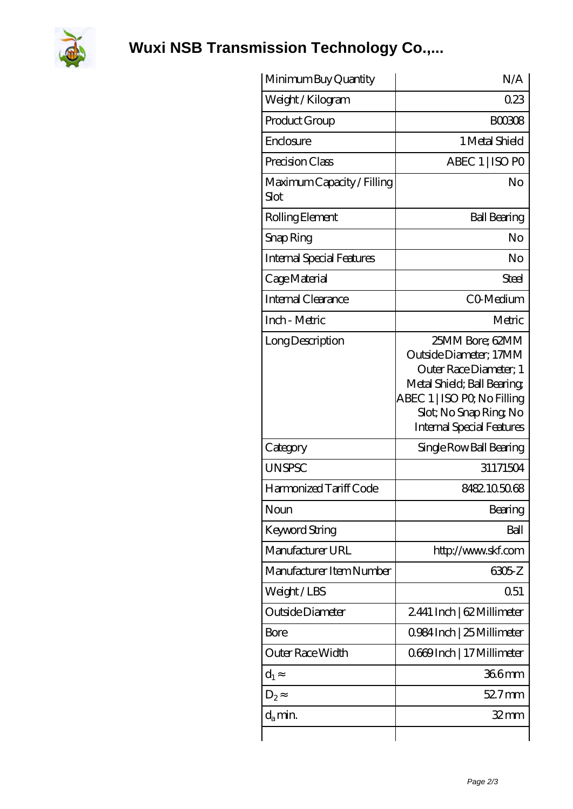

**[Wuxi NSB Transmission Technology Co.,...](https://herbal-circle.com)**

| Minimum Buy Quantity               | N/A                                                                                                                                                                                           |
|------------------------------------|-----------------------------------------------------------------------------------------------------------------------------------------------------------------------------------------------|
| Weight / Kilogram                  | 023                                                                                                                                                                                           |
| Product Group                      | <b>BOO308</b>                                                                                                                                                                                 |
| Enclosure                          | 1 Metal Shield                                                                                                                                                                                |
| Precision Class                    | ABEC 1   ISO PO                                                                                                                                                                               |
| Maximum Capacity / Filling<br>Slot | No                                                                                                                                                                                            |
| Rolling Element                    | <b>Ball Bearing</b>                                                                                                                                                                           |
| Snap Ring                          | No                                                                                                                                                                                            |
| Internal Special Features          | No                                                                                                                                                                                            |
| Cage Material                      | Steel                                                                                                                                                                                         |
| Internal Clearance                 | CO-Medium                                                                                                                                                                                     |
| Inch - Metric                      | Metric                                                                                                                                                                                        |
| Long Description                   | 25MM Bore; 62MM<br>Outside Diameter; 17MM<br>Outer Race Diameter; 1<br>Metal Shield; Ball Bearing;<br>ABEC 1   ISO PQ No Filling<br>Slot; No Snap Ring No<br><b>Internal Special Features</b> |
| Category                           | Single Row Ball Bearing                                                                                                                                                                       |
| <b>UNSPSC</b>                      | 31171504                                                                                                                                                                                      |
| Harmonized Tariff Code             | 8482105068                                                                                                                                                                                    |
| Noun                               | Bearing                                                                                                                                                                                       |
| Keyword String                     | Ball                                                                                                                                                                                          |
| Manufacturer URL                   | http://www.skf.com                                                                                                                                                                            |
| Manufacturer Item Number           | 6305 Z                                                                                                                                                                                        |
| Weight/LBS                         | 0.51                                                                                                                                                                                          |
| Outside Diameter                   | 2441 Inch   62 Millimeter                                                                                                                                                                     |
| Bore                               | 0.984 Inch   25 Millimeter                                                                                                                                                                    |
| Outer Race Width                   | Q669Inch   17 Millimeter                                                                                                                                                                      |
| $d_1$                              | 366mm                                                                                                                                                                                         |
| $D_2$                              | $527$ mm                                                                                                                                                                                      |
| $d_{a}$ min.                       | 32 mm                                                                                                                                                                                         |
|                                    |                                                                                                                                                                                               |